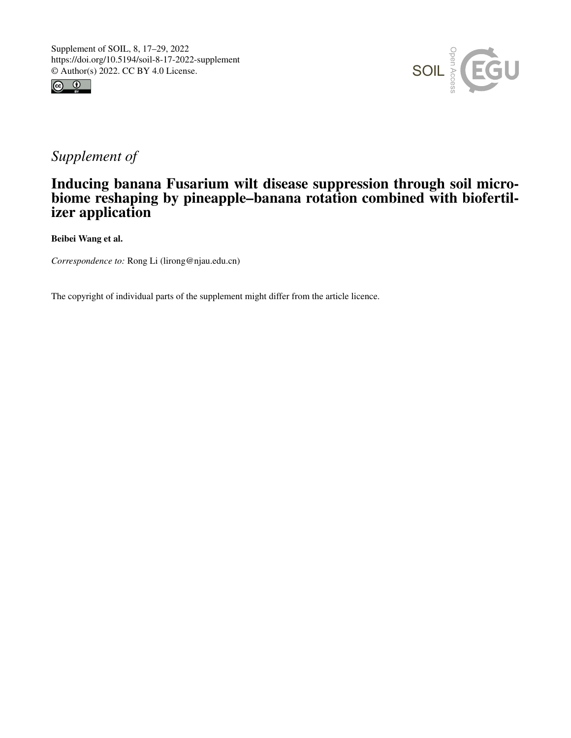



## *Supplement of*

## Inducing banana Fusarium wilt disease suppression through soil microbiome reshaping by pineapple–banana rotation combined with biofertilizer application

Beibei Wang et al.

*Correspondence to:* Rong Li (lirong@njau.edu.cn)

The copyright of individual parts of the supplement might differ from the article licence.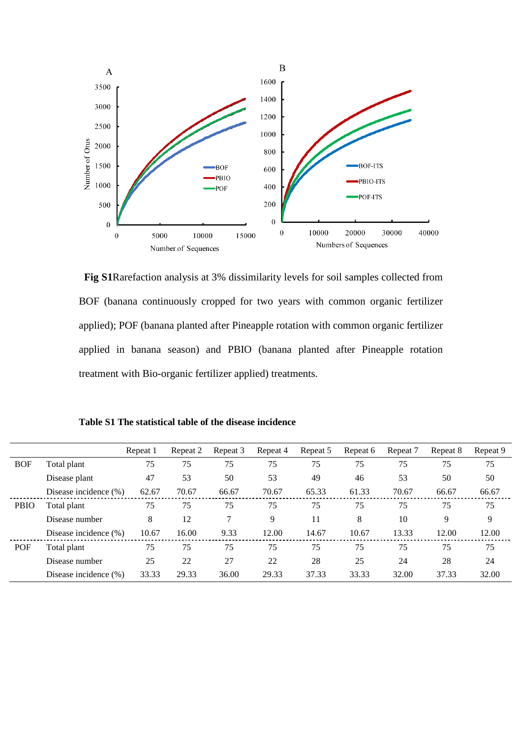

**Fig S1**Rarefaction analysis at 3% dissimilarity levels for soil samples collected from BOF (banana continuously cropped for two years with common organic fertilizer applied); POF (banana planted after Pineapple rotation with common organic fertilizer applied in banana season) and PBIO (banana planted after Pineapple rotation treatment with Bio-organic fertilizer applied) treatments.

**Table S1 The statistical table of the disease incidence**

|             |                       | Repeat 1 | Repeat 2 | Repeat 3 | Repeat 4 | Repeat 5 | Repeat 6 | Repeat 7 | Repeat 8 | Repeat 9 |
|-------------|-----------------------|----------|----------|----------|----------|----------|----------|----------|----------|----------|
| <b>BOF</b>  | Total plant           | 75       | 75       | 75       | 75       | 75       | 75       | 75       | 75       | 75       |
|             | Disease plant         | 47       | 53       | 50       | 53       | 49       | 46       | 53       | 50       | 50       |
|             | Disease incidence (%) | 62.67    | 70.67    | 66.67    | 70.67    | 65.33    | 61.33    | 70.67    | 66.67    | 66.67    |
| <b>PBIO</b> | Total plant           | 75       | 75       | 75       | 75       | 75       | 75       | 75       | 75       | 75       |
|             | Disease number        | 8        | 12       | 7        | 9        | 11       | 8        | 10       | 9        | 9        |
|             | Disease incidence (%) | 10.67    | 16.00    | 9.33     | 12.00    | 14.67    | 10.67    | 13.33    | 12.00    | 12.00    |
| <b>POF</b>  | Total plant           | 75       | 75       | 75       | 75       | 75       | 75       | 75       | 75       | 75       |
|             | Disease number        | 25       | 22       | 27       | 22       | 28       | 25       | 24       | 28       | 24       |
|             | Disease incidence (%) | 33.33    | 29.33    | 36.00    | 29.33    | 37.33    | 33.33    | 32.00    | 37.33    | 32.00    |